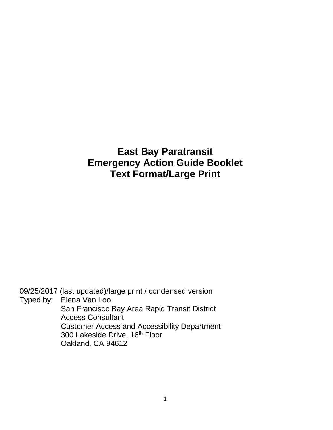### **East Bay Paratransit Emergency Action Guide Booklet Text Format/Large Print**

09/25/2017 (last updated)/large print / condensed version Typed by: Elena Van Loo San Francisco Bay Area Rapid Transit District Access Consultant Customer Access and Accessibility Department 300 Lakeside Drive, 16<sup>th</sup> Floor Oakland, CA 94612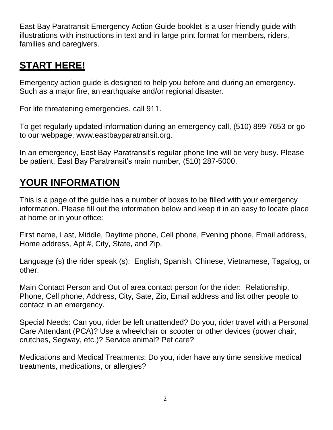East Bay Paratransit Emergency Action Guide booklet is a user friendly guide with illustrations with instructions in text and in large print format for members, riders, families and caregivers.

## **START HERE!**

Emergency action guide is designed to help you before and during an emergency. Such as a major fire, an earthquake and/or regional disaster.

For life threatening emergencies, call 911.

To get regularly updated information during an emergency call, (510) 899-7653 or go to our webpage, [www.eastbayparatransit.org.](http://www.eastbayparatransit.org/)

In an emergency, East Bay Paratransit's regular phone line will be very busy. Please be patient. East Bay Paratransit's main number, (510) 287-5000.

# **YOUR INFORMATION**

This is a page of the guide has a number of boxes to be filled with your emergency information. Please fill out the information below and keep it in an easy to locate place at home or in your office:

First name, Last, Middle, Daytime phone, Cell phone, Evening phone, Email address, Home address, Apt #, City, State, and Zip.

Language (s) the rider speak (s): English, Spanish, Chinese, Vietnamese, Tagalog, or other.

Main Contact Person and Out of area contact person for the rider: Relationship, Phone, Cell phone, Address, City, Sate, Zip, Email address and list other people to contact in an emergency.

Special Needs: Can you, rider be left unattended? Do you, rider travel with a Personal Care Attendant (PCA)? Use a wheelchair or scooter or other devices (power chair, crutches, Segway, etc.)? Service animal? Pet care?

Medications and Medical Treatments: Do you, rider have any time sensitive medical treatments, medications, or allergies?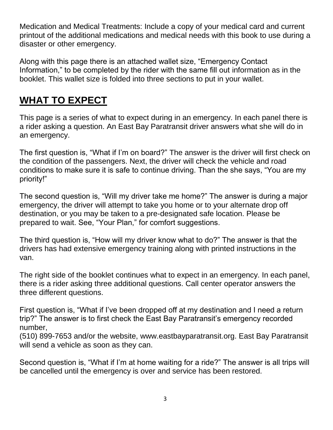Medication and Medical Treatments: Include a copy of your medical card and current printout of the additional medications and medical needs with this book to use during a disaster or other emergency.

Along with this page there is an attached wallet size, "Emergency Contact Information," to be completed by the rider with the same fill out information as in the booklet. This wallet size is folded into three sections to put in your wallet.

### WHAT TO EXPECT

This page is a series of what to expect during in an emergency. In each panel there is a rider asking a question. An East Bay Paratransit driver answers what she will do in an emergency.

The first question is, "What if I'm on board?" The answer is the driver will first check on the condition of the passengers. Next, the driver will check the vehicle and road conditions to make sure it is safe to continue driving. Than the she says, "You are my priority!"

The second question is, "Will my driver take me home?" The answer is during a major emergency, the driver will attempt to take you home or to your alternate drop off destination, or you may be taken to a pre-designated safe location. Please be prepared to wait. See, "Your Plan," for comfort suggestions.

The third question is, "How will my driver know what to do?" The answer is that the drivers has had extensive emergency training along with printed instructions in the van.

The right side of the booklet continues what to expect in an emergency. In each panel, there is a rider asking three additional questions. Call center operator answers the three different questions.

First question is, "What if I've been dropped off at my destination and I need a return trip?" The answer is to first check the East Bay Paratransit's emergency recorded number,

(510) 899-7653 and/or the website, [www.eastbayparatransit.org.](http://www.eastbayparatransit.org/) East Bay Paratransit will send a vehicle as soon as they can.

Second question is, "What if I'm at home waiting for a ride?" The answer is all trips will be cancelled until the emergency is over and service has been restored.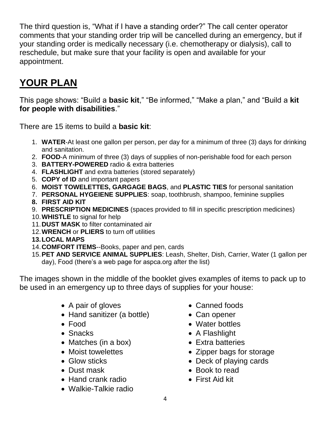The third question is, "What if I have a standing order?" The call center operator comments that your standing order trip will be cancelled during an emergency, but if your standing order is medically necessary (i.e. chemotherapy or dialysis), call to reschedule, but make sure that your facility is open and available for your appointment.

## **YOUR PLAN**

This page shows: "Build a **basic kit**," "Be informed," "Make a plan," and "Build a **kit for people with disabilities**."

There are 15 items to build a **basic kit**:

- 1. **WATER**-At least one gallon per person, per day for a minimum of three (3) days for drinking and sanitation.
- 2. **FOOD**-A minimum of three (3) days of supplies of non-perishable food for each person
- 3. **BATTERY-POWERED** radio & extra batteries
- 4. **FLASHLIGHT** and extra batteries (stored separately)
- 5. **COPY of ID** and important papers
- 6. **MOIST TOWELETTES, GARGAGE BAGS**, and **PLASTIC TIES** for personal sanitation
- 7. **PERSONAL HYGEIENE SUPPLIES**: soap, toothbrush, shampoo, feminine supplies
- **8. FIRST AID KIT**
- 9. **PRESCRIPTION MEDICINES** (spaces provided to fill in specific prescription medicines)
- 10.**WHISTLE** to signal for help
- 11.**DUST MASK** to filter contaminated air
- 12.**WRENCH** or **PLIERS** to turn off utilities
- **13.LOCAL MAPS**
- 14.**COMFORT ITEMS**--Books, paper and pen, cards
- 15.**PET AND SERVICE ANIMAL SUPPLIES**: Leash, Shelter, Dish, Carrier, Water (1 gallon per day), Food (there's a web page for aspca.org after the list)

The images shown in the middle of the booklet gives examples of items to pack up to be used in an emergency up to three days of supplies for your house:

- A pair of gloves
- Hand sanitizer (a bottle)
- Food
- Snacks
- Matches (in a box)
- Moist towelettes
- Glow sticks
- Dust mask
- Hand crank radio
- Walkie-Talkie radio
- Canned foods
- Can opener
- Water bottles
- A Flashlight
- Extra batteries
- Zipper bags for storage
- Deck of playing cards
- Book to read
- First Aid kit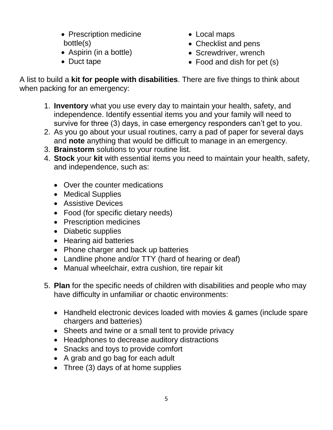- Prescription medicine bottle(s)
- Aspirin (in a bottle)
- Duct tape
- Local maps
- Checklist and pens
- Screwdriver, wrench
- Food and dish for pet (s)

A list to build a **kit for people with disabilities**. There are five things to think about when packing for an emergency:

- 1. **Inventory** what you use every day to maintain your health, safety, and independence. Identify essential items you and your family will need to survive for three (3) days, in case emergency responders can't get to you.
- 2. As you go about your usual routines, carry a pad of paper for several days and **note** anything that would be difficult to manage in an emergency.
- 3. **Brainstorm** solutions to your routine list.
- 4. **Stock** your **kit** with essential items you need to maintain your health, safety, and independence, such as:
	- Over the counter medications
	- Medical Supplies
	- Assistive Devices
	- Food (for specific dietary needs)
	- Prescription medicines
	- Diabetic supplies
	- Hearing aid batteries
	- Phone charger and back up batteries
	- Landline phone and/or TTY (hard of hearing or deaf)
	- Manual wheelchair, extra cushion, tire repair kit
- 5. **Plan** for the specific needs of children with disabilities and people who may have difficulty in unfamiliar or chaotic environments:
	- Handheld electronic devices loaded with movies & games (include spare chargers and batteries)
	- Sheets and twine or a small tent to provide privacy
	- Headphones to decrease auditory distractions
	- Snacks and toys to provide comfort
	- A grab and go bag for each adult
	- Three (3) days of at home supplies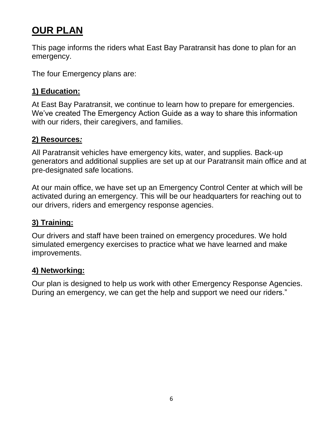# **OUR PLAN**

This page informs the riders what East Bay Paratransit has done to plan for an emergency.

The four Emergency plans are:

### **1) Education:**

At East Bay Paratransit, we continue to learn how to prepare for emergencies. We've created The Emergency Action Guide as a way to share this information with our riders, their caregivers, and families.

#### **2) Resources***:*

All Paratransit vehicles have emergency kits, water, and supplies. Back-up generators and additional supplies are set up at our Paratransit main office and at pre-designated safe locations.

At our main office, we have set up an Emergency Control Center at which will be activated during an emergency. This will be our headquarters for reaching out to our drivers, riders and emergency response agencies.

### **3) Training:**

Our drivers and staff have been trained on emergency procedures. We hold simulated emergency exercises to practice what we have learned and make improvements.

### **4) Networking:**

Our plan is designed to help us work with other Emergency Response Agencies. During an emergency, we can get the help and support we need our riders."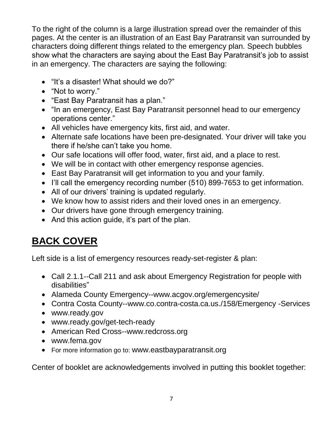To the right of the column is a large illustration spread over the remainder of this pages. At the center is an illustration of an East Bay Paratransit van surrounded by characters doing different things related to the emergency plan. Speech bubbles show what the characters are saying about the East Bay Paratransit's job to assist in an emergency. The characters are saying the following:

- "It's a disaster! What should we do?"
- "Not to worry."
- "East Bay Paratransit has a plan."
- "In an emergency, East Bay Paratransit personnel head to our emergency operations center."
- All vehicles have emergency kits, first aid, and water.
- Alternate safe locations have been pre-designated. Your driver will take you there if he/she can't take you home.
- Our safe locations will offer food, water, first aid, and a place to rest.
- We will be in contact with other emergency response agencies.
- East Bay Paratransit will get information to you and your family.
- I'll call the emergency recording number (510) 899-7653 to get information.
- All of our drivers' training is updated regularly.
- We know how to assist riders and their loved ones in an emergency.
- Our drivers have gone through emergency training.
- And this action quide, it's part of the plan.

# **BACK COVER**

Left side is a list of emergency resources ready-set-register & plan:

- Call 2.1.1--Call 211 and ask about Emergency Registration for people with disabilities"
- Alameda County Emergency-[-www.acgov.org/emergencysite/](http://www.acgov.org/emergencysite/)
- Contra Costa County--www.co.contra-costa.ca.us./158/Emergency -Services
- [www.ready.gov](http://www.ready.gov/)
- www.ready.gov/get-tech-ready
- American Red Cross-[-www.redcross.org](http://www.redcross.org/)
- www.fema.gov
- For more information go to: [www.eastbayparatransit.org](http://www.eastbayparatransit.org/)

Center of booklet are acknowledgements involved in putting this booklet together: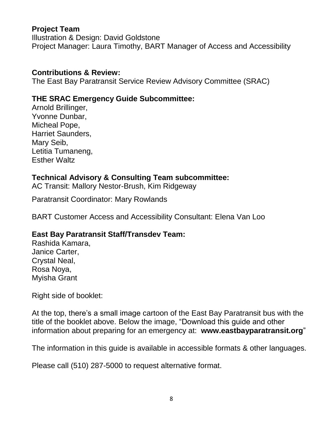#### **Project Team**

Illustration & Design: David Goldstone Project Manager: Laura Timothy, BART Manager of Access and Accessibility

#### **Contributions & Review:**

The East Bay Paratransit Service Review Advisory Committee (SRAC)

#### **THE SRAC Emergency Guide Subcommittee:**

Arnold Brillinger, Yvonne Dunbar, Micheal Pope, Harriet Saunders, Mary Seib, Letitia Tumaneng, Esther Waltz

### **Technical Advisory & Consulting Team subcommittee:**

AC Transit: Mallory Nestor-Brush, Kim Ridgeway

Paratransit Coordinator: Mary Rowlands

BART Customer Access and Accessibility Consultant: Elena Van Loo

#### **East Bay Paratransit Staff/Transdev Team:**

Rashida Kamara, Janice Carter, Crystal Neal, Rosa Noya, Myisha Grant

Right side of booklet:

At the top, there's a small image cartoon of the East Bay Paratransit bus with the title of the booklet above. Below the image, "Download this guide and other information about preparing for an emergency at: **[www.eastbayparatransit.org](http://www.eastbayparatransit.org/)**"

The information in this guide is available in accessible formats & other languages.

Please call (510) 287-5000 to request alternative format.